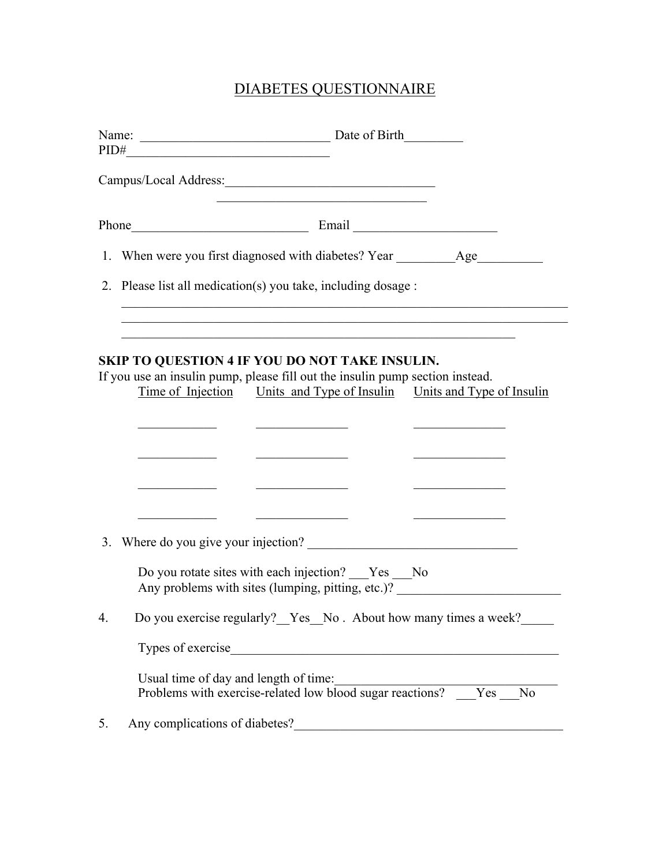## DIABETES QUESTIONNAIRE

|    | PID#                                                                                                                                                                                                                                   |
|----|----------------------------------------------------------------------------------------------------------------------------------------------------------------------------------------------------------------------------------------|
|    | the control of the control of the control of the control of the control of the control of                                                                                                                                              |
|    | Phone Email Email Email                                                                                                                                                                                                                |
|    | 1. When were you first diagnosed with diabetes? Year ___________________________                                                                                                                                                       |
|    | 2. Please list all medication(s) you take, including dosage :                                                                                                                                                                          |
|    |                                                                                                                                                                                                                                        |
|    | SKIP TO QUESTION 4 IF YOU DO NOT TAKE INSULIN.<br>If you use an insulin pump, please fill out the insulin pump section instead.<br><u>Time of Injection Units and Type of Insulin Units and Type of Insulin</u>                        |
|    | <u> 1980 - Johann Barn, fransk politik amerikansk politik (</u><br><u> La Carlo Carlo Carlo Carlo Carlo Ca</u><br><u> 1989 - Johann John Stone, markin sammen beskriver og store og store og store og store og store og store og s</u> |
|    |                                                                                                                                                                                                                                        |
|    | Do you rotate sites with each injection? __Yes __No<br>Any problems with sites (lumping, pitting, etc.)?                                                                                                                               |
| 4. | Do you exercise regularly?_Yes_No. About how many times a week?___                                                                                                                                                                     |
|    |                                                                                                                                                                                                                                        |
|    | Usual time of day and length of time:<br>Problems with exercise-related low blood sugar reactions? Yes No                                                                                                                              |
| 5. | Any complications of diabetes?                                                                                                                                                                                                         |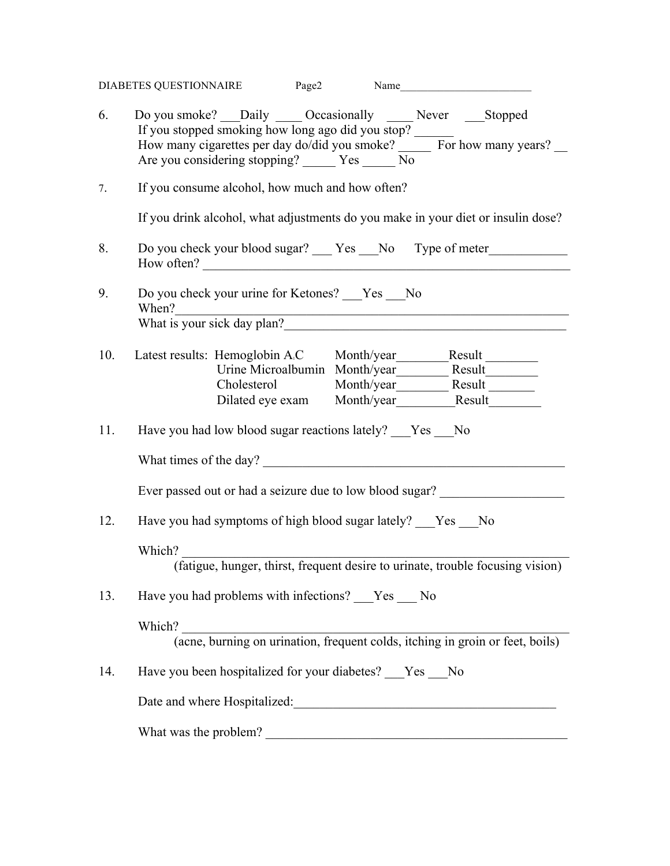|     | DIABETES QUESTIONNAIRE Page2 Name                                                                                                                                                                                                                                                                                                                                                                     |  |  |  |  |  |  |
|-----|-------------------------------------------------------------------------------------------------------------------------------------------------------------------------------------------------------------------------------------------------------------------------------------------------------------------------------------------------------------------------------------------------------|--|--|--|--|--|--|
| 6.  | Do you smoke? __Daily _____ Occasionally ______ Never _____Stopped<br>If you stopped smoking how long ago did you stop?<br>How many cigarettes per day do/did you smoke? _____ For how many years? __<br>Are you considering stopping? _______ Yes ______ No                                                                                                                                          |  |  |  |  |  |  |
| 7.  | If you consume alcohol, how much and how often?                                                                                                                                                                                                                                                                                                                                                       |  |  |  |  |  |  |
|     | If you drink alcohol, what adjustments do you make in your diet or insulin dose?                                                                                                                                                                                                                                                                                                                      |  |  |  |  |  |  |
| 8.  | Do you check your blood sugar? ___ Yes ___ No Type of meter_____________________<br>How often?                                                                                                                                                                                                                                                                                                        |  |  |  |  |  |  |
| 9.  | Do you check your urine for Ketones? ___Yes ___No<br>When?<br><u> 1989 - Johann John Stein, markin film yn y brenin y brenin y brenin y brenin y brenin y brenin y brenin y br</u>                                                                                                                                                                                                                    |  |  |  |  |  |  |
|     |                                                                                                                                                                                                                                                                                                                                                                                                       |  |  |  |  |  |  |
| 10. | Latest results: Hemoglobin A.C Month/year Month2.1987                                                                                                                                                                                                                                                                                                                                                 |  |  |  |  |  |  |
|     |                                                                                                                                                                                                                                                                                                                                                                                                       |  |  |  |  |  |  |
|     | Cholesterol Month/year Month2 Result Month2 Result Month2 Result Month2 Result Month2 Result Month2 Result Month2 Result Month2 Result Month2 Result Month2 Result Month2 Result Month2 Result Month2 Result Month2 Result Mon<br>Dilated eye exam Month/year Month_Month_Mesult Month_Mesult Month_Mesult Month_Mesult Month_Mesult Month_Mesult Month_Mesult Month_Mesult Month_Mesult Month_Mesult |  |  |  |  |  |  |
|     |                                                                                                                                                                                                                                                                                                                                                                                                       |  |  |  |  |  |  |
| 11. | Have you had low blood sugar reactions lately? ___Yes ___No                                                                                                                                                                                                                                                                                                                                           |  |  |  |  |  |  |
|     | What times of the day?                                                                                                                                                                                                                                                                                                                                                                                |  |  |  |  |  |  |
|     | Ever passed out or had a seizure due to low blood sugar?                                                                                                                                                                                                                                                                                                                                              |  |  |  |  |  |  |
| 12. | Have you had symptoms of high blood sugar lately? Yes No                                                                                                                                                                                                                                                                                                                                              |  |  |  |  |  |  |
|     |                                                                                                                                                                                                                                                                                                                                                                                                       |  |  |  |  |  |  |
|     | Which?<br>(fatigue, hunger, thirst, frequent desire to urinate, trouble focusing vision)                                                                                                                                                                                                                                                                                                              |  |  |  |  |  |  |
|     |                                                                                                                                                                                                                                                                                                                                                                                                       |  |  |  |  |  |  |
| 13. | Have you had problems with infections? ___ Yes ___ No                                                                                                                                                                                                                                                                                                                                                 |  |  |  |  |  |  |
|     | Which?                                                                                                                                                                                                                                                                                                                                                                                                |  |  |  |  |  |  |
|     |                                                                                                                                                                                                                                                                                                                                                                                                       |  |  |  |  |  |  |
| 14. | Have you been hospitalized for your diabetes? ___Yes ___No                                                                                                                                                                                                                                                                                                                                            |  |  |  |  |  |  |
|     | Date and where Hospitalized:<br><u>Letting</u> and the example of the state of the state of the state of the state of the state of the state of the state of the state of the state of the state of the state of the state of the sta                                                                                                                                                                 |  |  |  |  |  |  |
|     | What was the problem?<br><u> 1980 - Johann Barbara, martxa alemaniar a</u>                                                                                                                                                                                                                                                                                                                            |  |  |  |  |  |  |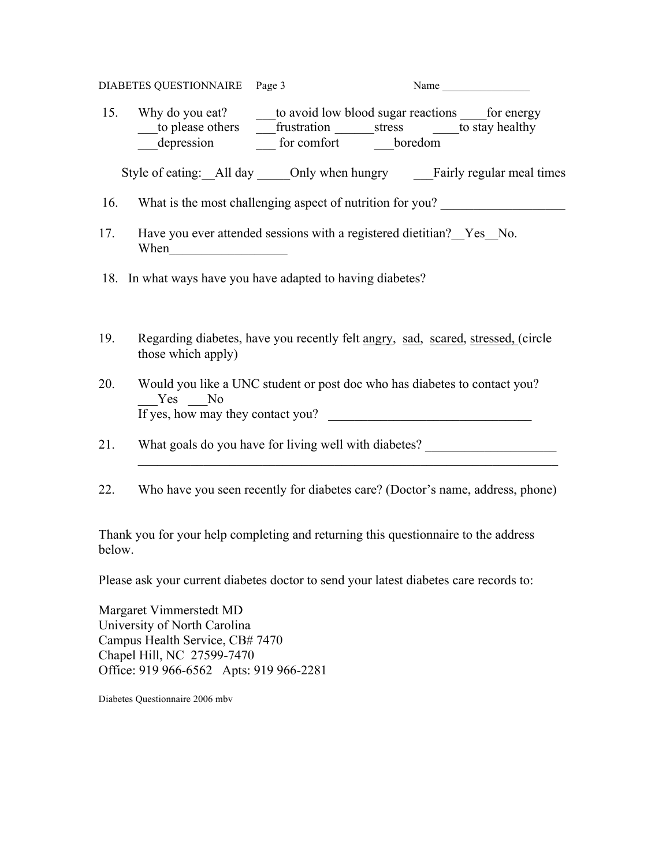| DIABETES QUESTIONNAIRE Page 3 | Name |  |
|-------------------------------|------|--|
|                               |      |  |

15. Why do you eat? \_\_\_\_\_\_to avoid low blood sugar reactions \_\_\_\_\_\_\_\_\_\_\_\_\_\_\_\_\_\_\_ to please others  $\overline{\qquad}$  frustration stress  $\overline{\qquad}$  to stay healthy  $\frac{1}{\sqrt{1-\frac{1}{\sqrt{1-\frac{1}{\sqrt{1-\frac{1}{\sqrt{1-\frac{1}{\sqrt{1-\frac{1}{\sqrt{1-\frac{1}{\sqrt{1-\frac{1}{\sqrt{1-\frac{1}{\sqrt{1-\frac{1}{\sqrt{1-\frac{1}{\sqrt{1-\frac{1}{\sqrt{1-\frac{1}{\sqrt{1-\frac{1}{\sqrt{1-\frac{1}{\sqrt{1-\frac{1}{\sqrt{1-\frac{1}{\sqrt{1-\frac{1}{\sqrt{1-\frac{1}{\sqrt{1-\frac{1}{\sqrt{1-\frac{1}{\sqrt{1-\frac{1}{\sqrt{1-\frac{1}{\sqrt{1-\frac{1}{\sqrt{1-\frac{1$ 

Style of eating: All day Only when hungry Fairly regular meal times

- 16. What is the most challenging aspect of nutrition for you?
- 17. Have you ever attended sessions with a registered dietitian? Yes No. When  $\Box$
- 18. In what ways have you have adapted to having diabetes?
- 19. Regarding diabetes, have you recently felt angry, sad, scared, stressed, (circle those which apply)
- 20. Would you like a UNC student or post doc who has diabetes to contact you? Yes No If yes, how may they contact you?
- 21. What goals do you have for living well with diabetes?
- 22. Who have you seen recently for diabetes care? (Doctor's name, address, phone)

 $\mathcal{L}_\text{max} = \frac{1}{2} \sum_{i=1}^n \mathcal{L}_\text{max}(\mathbf{z}_i - \mathbf{z}_i)$ 

Thank you for your help completing and returning this questionnaire to the address below.

Please ask your current diabetes doctor to send your latest diabetes care records to:

Margaret Vimmerstedt MD University of North Carolina Campus Health Service, CB# 7470 Chapel Hill, NC 27599-7470 Office: 919 966-6562 Apts: 919 966-2281

Diabetes Questionnaire 2006 mbv